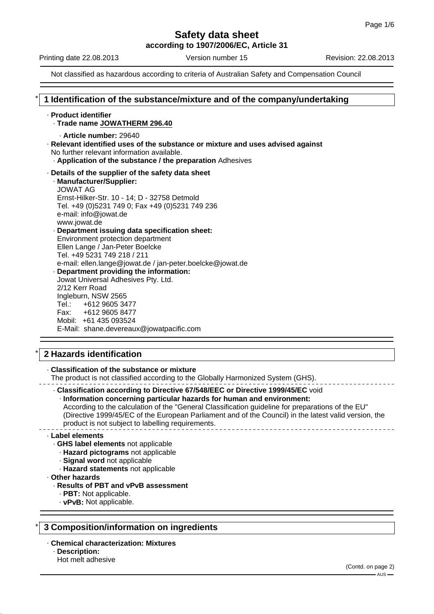**according to 1907/2006/EC, Article 31**

Printing date 22.08.2013 Version number 15 Revision: 22.08.2013

Not classified as hazardous according to criteria of Australian Safety and Compensation Council

# \* **1 Identification of the substance/mixture and of the company/undertaking**

#### · **Product identifier**

- · **Trade name JOWATHERM 296.40**
	- · **Article number:** 29640
- · **Relevant identified uses of the substance or mixture and uses advised against** No further relevant information available.
	- · **Application of the substance / the preparation** Adhesives
- · **Details of the supplier of the safety data sheet** · **Manufacturer/Supplier:** JOWAT AG
	- Ernst-Hilker-Str. 10 14; D 32758 Detmold Tel. +49 (0)5231 749 0; Fax +49 (0)5231 749 236 e-mail: info@jowat.de www.jowat.de · **Department issuing data specification sheet:** Environment protection department
	- Ellen Lange / Jan-Peter Boelcke Tel. +49 5231 749 218 / 211 e-mail: ellen.lange@jowat.de / jan-peter.boelcke@jowat.de · **Department providing the information:** Jowat Universal Adhesives Pty. Ltd.

2/12 Kerr Road Ingleburn, NSW 2565 Tel.: +612 9605 3477 Fax: +612 9605 8477 Mobil: +61 435 093524 E-Mail: shane.devereaux@jowatpacific.com

# \* **2 Hazards identification**

· **Classification of the substance or mixture**

The product is not classified according to the Globally Harmonized System (GHS).

· **Classification according to Directive 67/548/EEC or Directive 1999/45/EC** void

· **Information concerning particular hazards for human and environment:**

According to the calculation of the "General Classification guideline for preparations of the EU" (Directive 1999/45/EC of the European Parliament and of the Council) in the latest valid version, the product is not subject to labelling requirements.

#### · **Label elements**

- · **GHS label elements** not applicable
- · **Hazard pictograms** not applicable
- · **Signal word** not applicable
	- · **Hazard statements** not applicable
- · **Other hazards**

#### · **Results of PBT and vPvB assessment**

- · **PBT:** Not applicable.
- · **vPvB:** Not applicable.

# \* **3 Composition/information on ingredients**

## · **Chemical characterization: Mixtures**

- · **Description:**
- Hot melt adhesive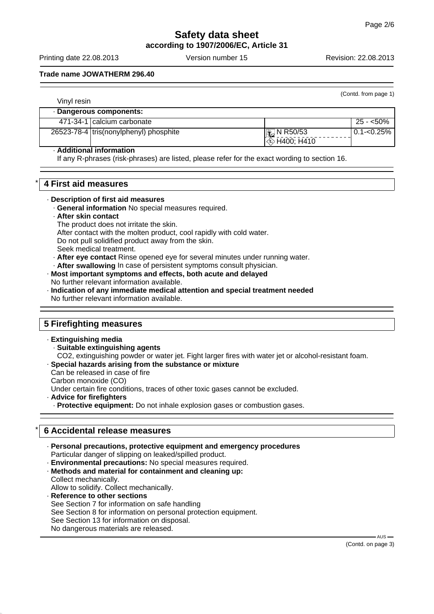# **Safety data sheet according to 1907/2006/EC, Article 31**

Printing date 22.08.2013 Version number 15 Revision: 22.08.2013

(Contd. from page 1)

# **Trade name JOWATHERM 296.40**

| Vinyl resin |                                          |                       |                |
|-------------|------------------------------------------|-----------------------|----------------|
|             | · Dangerous components:                  |                       |                |
|             | 471-34-1 calcium carbonate               |                       | $25 - 50\%$    |
|             | 26523-78-4   tris(nonylphenyl) phosphite | $\mathbb{E}$ N R50/53 | $0.1 - 0.25\%$ |
|             |                                          | $\otimes$ H400; H410  |                |

#### · **Additional information**

If any R-phrases (risk-phrases) are listed, please refer for the exact wording to section 16.

# \* **4 First aid measures**

#### · **Description of first aid measures**

- · **General information** No special measures required.
- · **After skin contact**
	- The product does not irritate the skin.
- After contact with the molten product, cool rapidly with cold water.
- Do not pull solidified product away from the skin.
- Seek medical treatment.
- · **After eye contact** Rinse opened eye for several minutes under running water.
- · **After swallowing** In case of persistent symptoms consult physician.

#### · **Most important symptoms and effects, both acute and delayed** No further relevant information available.

· **Indication of any immediate medical attention and special treatment needed** No further relevant information available.

# **5 Firefighting measures**

#### · **Extinguishing media**

- · **Suitable extinguishing agents**
- CO2, extinguishing powder or water jet. Fight larger fires with water jet or alcohol-resistant foam.
- · **Special hazards arising from the substance or mixture**

Can be released in case of fire

Carbon monoxide (CO)

Under certain fire conditions, traces of other toxic gases cannot be excluded.

· **Advice for firefighters**

· **Protective equipment:** Do not inhale explosion gases or combustion gases.

# \* **6 Accidental release measures**

· **Personal precautions, protective equipment and emergency procedures** Particular danger of slipping on leaked/spilled product.

- · **Environmental precautions:** No special measures required.
- · **Methods and material for containment and cleaning up:** Collect mechanically.
- Allow to solidify. Collect mechanically.
- · **Reference to other sections** See Section 7 for information on safe handling See Section 8 for information on personal protection equipment. See Section 13 for information on disposal. No dangerous materials are released.

(Contd. on page 3)

AUS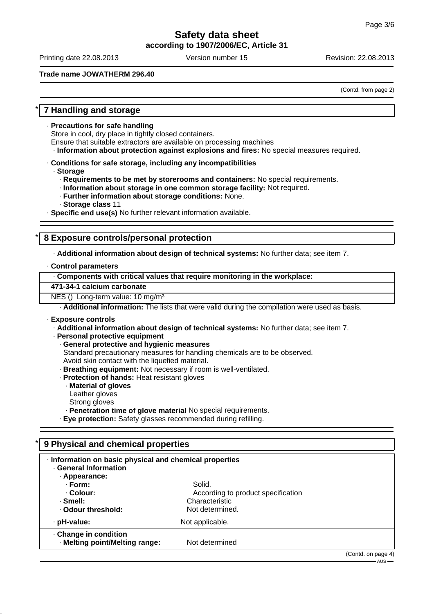**according to 1907/2006/EC, Article 31**

Printing date 22.08.2013 Version number 15 Revision: 22.08.2013

## **Trade name JOWATHERM 296.40**

(Contd. from page 2)

# \* **7 Handling and storage**

· **Precautions for safe handling**

Store in cool, dry place in tightly closed containers.

Ensure that suitable extractors are available on processing machines

· **Information about protection against explosions and fires:** No special measures required.

- · **Conditions for safe storage, including any incompatibilities**
	- · **Storage**
		- · **Requirements to be met by storerooms and containers:** No special requirements.
		- · **Information about storage in one common storage facility:** Not required.
		- · **Further information about storage conditions:** None.
		- · **Storage class** 11

· **Specific end use(s)** No further relevant information available.

# \* **8 Exposure controls/personal protection**

· **Additional information about design of technical systems:** No further data; see item 7.

#### · **Control parameters**

| Components with critical values that require monitoring in the workplace: |  |
|---------------------------------------------------------------------------|--|
|                                                                           |  |

#### **471-34-1 calcium carbonate**

NES () Long-term value: 10 mg/m<sup>3</sup>

· **Additional information:** The lists that were valid during the compilation were used as basis.

#### · **Exposure controls**

· **Additional information about design of technical systems:** No further data; see item 7.

· **Personal protective equipment**

- · **General protective and hygienic measures**
- Standard precautionary measures for handling chemicals are to be observed.
- Avoid skin contact with the liquefied material.
- · **Breathing equipment:** Not necessary if room is well-ventilated.
- · **Protection of hands:** Heat resistant gloves
- · **Material of gloves**
- Leather gloves
- Strong gloves
- · **Penetration time of glove material** No special requirements.

· **Eye protection:** Safety glasses recommended during refilling.

# \* **9 Physical and chemical properties**

| Information on basic physical and chemical properties<br><b>General Information</b> |                                              |                    |
|-------------------------------------------------------------------------------------|----------------------------------------------|--------------------|
| · Appearance:<br>· Form:<br>. Colour:                                               | Solid.<br>According to product specification |                    |
| · Smell:<br>. Odour threshold:                                                      | Characteristic<br>Not determined.            |                    |
| · pH-value:                                                                         | Not applicable.                              |                    |
| Change in condition<br>· Melting point/Melting range:                               | Not determined                               |                    |
|                                                                                     |                                              | (Contd. on page 4) |

 $-AUS -$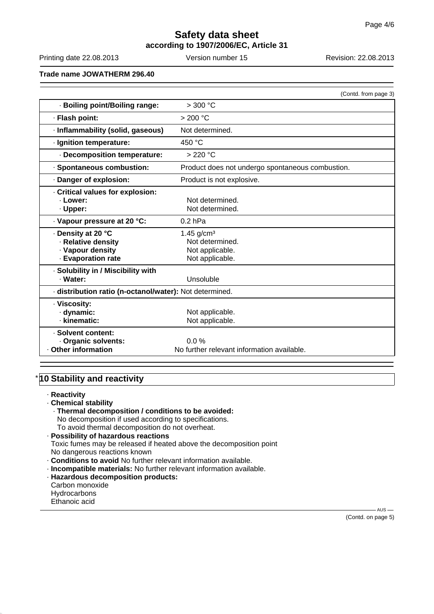# **Safety data sheet according to 1907/2006/EC, Article 31**

Printing date 22.08.2013 Version number 15 Revision: 22.08.2013

**Trade name JOWATHERM 296.40**

|                                                         | (Contd. from page 3)                             |  |
|---------------------------------------------------------|--------------------------------------------------|--|
| · Boiling point/Boiling range:                          | >300 °C                                          |  |
| · Flash point:                                          | >200 °C                                          |  |
| · Inflammability (solid, gaseous)                       | Not determined.                                  |  |
| · Ignition temperature:                                 | 450 °C                                           |  |
| Decomposition temperature:                              | > 220 °C                                         |  |
| · Spontaneous combustion:                               | Product does not undergo spontaneous combustion. |  |
| · Danger of explosion:                                  | Product is not explosive.                        |  |
| Critical values for explosion:                          |                                                  |  |
| · Lower:                                                | Not determined.                                  |  |
| · Upper:                                                | Not determined.                                  |  |
| · Vapour pressure at 20 °C:                             | $0.2$ hPa                                        |  |
| ⋅ Density at 20 °C                                      | 1.45 $g/cm3$                                     |  |
| · Relative density                                      | Not determined.                                  |  |
| · Vapour density                                        | Not applicable.                                  |  |
| · Evaporation rate                                      | Not applicable.                                  |  |
| · Solubility in / Miscibility with                      |                                                  |  |
| · Water:                                                | Unsoluble                                        |  |
| · distribution ratio (n-octanol/water): Not determined. |                                                  |  |
| · Viscosity:                                            |                                                  |  |
| · dynamic:                                              | Not applicable.                                  |  |
| · kinematic:                                            | Not applicable.                                  |  |
| · Solvent content:                                      |                                                  |  |
| · Organic solvents:                                     | $0.0\%$                                          |  |
| Other information                                       | No further relevant information available.       |  |

# **10 Stability and reactivity**

· **Reactivity**

- · **Chemical stability**
	- · **Thermal decomposition / conditions to be avoided:**
	- No decomposition if used according to specifications.

To avoid thermal decomposition do not overheat.

· **Possibility of hazardous reactions** Toxic fumes may be released if heated above the decomposition point No dangerous reactions known

- · **Conditions to avoid** No further relevant information available.
- · **Incompatible materials:** No further relevant information available.
- · **Hazardous decomposition products:** Carbon monoxide
- **Hydrocarbons**
- Ethanoic acid

(Contd. on page 5)

 $-AUS$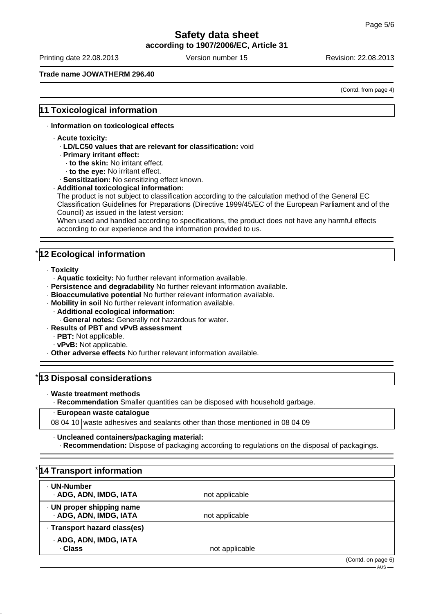**according to 1907/2006/EC, Article 31**

Printing date 22.08.2013 Version number 15 Revision: 22.08.2013

## **Trade name JOWATHERM 296.40**

(Contd. from page 4)

# **11 Toxicological information**

### · **Information on toxicological effects**

- · **Acute toxicity:**
	- · **LD/LC50 values that are relevant for classification:** void
	- · **Primary irritant effect:**
		- · **to the skin:** No irritant effect.
		- · **to the eye:** No irritant effect.

· **Sensitization:** No sensitizing effect known.

#### · **Additional toxicological information:**

The product is not subject to classification according to the calculation method of the General EC Classification Guidelines for Preparations (Directive 1999/45/EC of the European Parliament and of the Council) as issued in the latest version:

When used and handled according to specifications, the product does not have any harmful effects according to our experience and the information provided to us.

# **12 Ecological information**

- · **Toxicity**
- · **Aquatic toxicity:** No further relevant information available.
- · **Persistence and degradability** No further relevant information available.
- · **Bioaccumulative potential** No further relevant information available.
- · **Mobility in soil** No further relevant information available.
	- · **Additional ecological information:**
	- · **General notes:** Generally not hazardous for water.
- · **Results of PBT and vPvB assessment**
	- · **PBT:** Not applicable.
	- · **vPvB:** Not applicable.
- · **Other adverse effects** No further relevant information available.

# **13 Disposal considerations**

· **Waste treatment methods**

· **Recommendation** Smaller quantities can be disposed with household garbage.

# · **European waste catalogue**

08 04 10 waste adhesives and sealants other than those mentioned in 08 04 09

#### · **Uncleaned containers/packaging material:**

· **Recommendation:** Dispose of packaging according to regulations on the disposal of packagings.

| *14 Transport information                           |                |                                   |
|-----------------------------------------------------|----------------|-----------------------------------|
| · UN-Number<br>· ADG, ADN, IMDG, IATA               | not applicable |                                   |
| · UN proper shipping name<br>· ADG, ADN, IMDG, IATA | not applicable |                                   |
| · Transport hazard class(es)                        |                |                                   |
| · ADG, ADN, IMDG, IATA<br>· Class                   | not applicable |                                   |
|                                                     |                | (Contd. on page 6)<br>$-$ AUS $-$ |